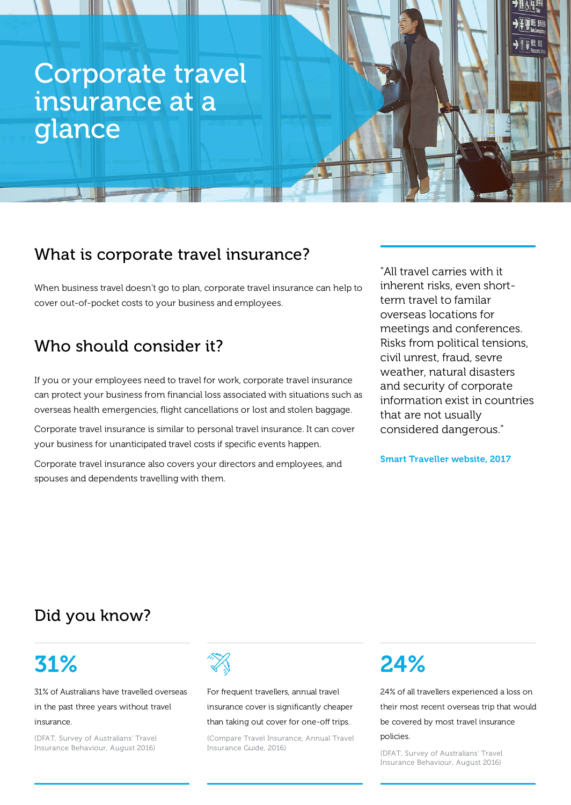# Corporate travel insurance at a glance

### What is corporate travel insurance?

When business travel doesn't go to plan, corporate travel insurance can help to cover out-of-pocket costs to your business and employees.

## Who should consider it?

If you or your employees need to travel for work, corporate travel insurance can protect your business from financial loss associated with situations such as overseas health emergencies, flight cancellations or lost and stolen baggage.

Corporate travel insurance is similar to personal travel insurance. It can cover your business for unanticipated travel costs if specific events happen.

Corporate travel insurance also covers your directors and employees, and spouses and dependents travelling with them.

"All travel carries with it inherent risks, even shortterm travel to familar overseas locations for meetings and conferences. Risks from political tensions, civil unrest, fraud, sevre weather, natural disasters and security of corporate information exist in countries that are not usually considered dangerous."

Smart Traveller website, 2017

### Did you know?

# 31%

31% of Australians have travelled overseas in the past three years without travel insurance.

(DFAT, Survey of Australians' Travel Insurance Behaviour, August 2016)



For frequent travellers, annual travel insurance cover is significantly cheaper than taking out cover for one-off trips.

(Compare Travel Insurance, Annual Travel Insurance Guide, 2016)

# 24%

24% of all travellers experienced a loss on their most recent overseas trip that would be covered by most travel insurance policies.

(DFAT, Survey of Australians' Travel Insurance Behaviour, August 2016)